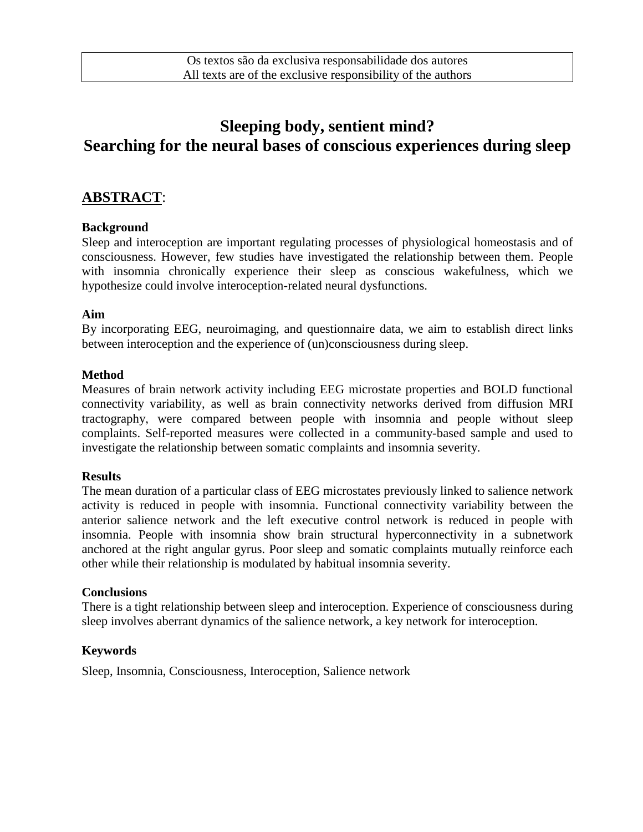# **Sleeping body, sentient mind? Searching for the neural bases of conscious experiences during sleep**

# **ABSTRACT**:

### **Background**

Sleep and interoception are important regulating processes of physiological homeostasis and of consciousness. However, few studies have investigated the relationship between them. People with insomnia chronically experience their sleep as conscious wakefulness, which we hypothesize could involve interoception-related neural dysfunctions.

#### **Aim**

By incorporating EEG, neuroimaging, and questionnaire data, we aim to establish direct links between interoception and the experience of (un)consciousness during sleep.

#### **Method**

Measures of brain network activity including EEG microstate properties and BOLD functional connectivity variability, as well as brain connectivity networks derived from diffusion MRI tractography, were compared between people with insomnia and people without sleep complaints. Self-reported measures were collected in a community-based sample and used to investigate the relationship between somatic complaints and insomnia severity.

#### **Results**

The mean duration of a particular class of EEG microstates previously linked to salience network activity is reduced in people with insomnia. Functional connectivity variability between the anterior salience network and the left executive control network is reduced in people with insomnia. People with insomnia show brain structural hyperconnectivity in a subnetwork anchored at the right angular gyrus. Poor sleep and somatic complaints mutually reinforce each other while their relationship is modulated by habitual insomnia severity.

#### **Conclusions**

There is a tight relationship between sleep and interoception. Experience of consciousness during sleep involves aberrant dynamics of the salience network, a key network for interoception.

### **Keywords**

Sleep, Insomnia, Consciousness, Interoception, Salience network